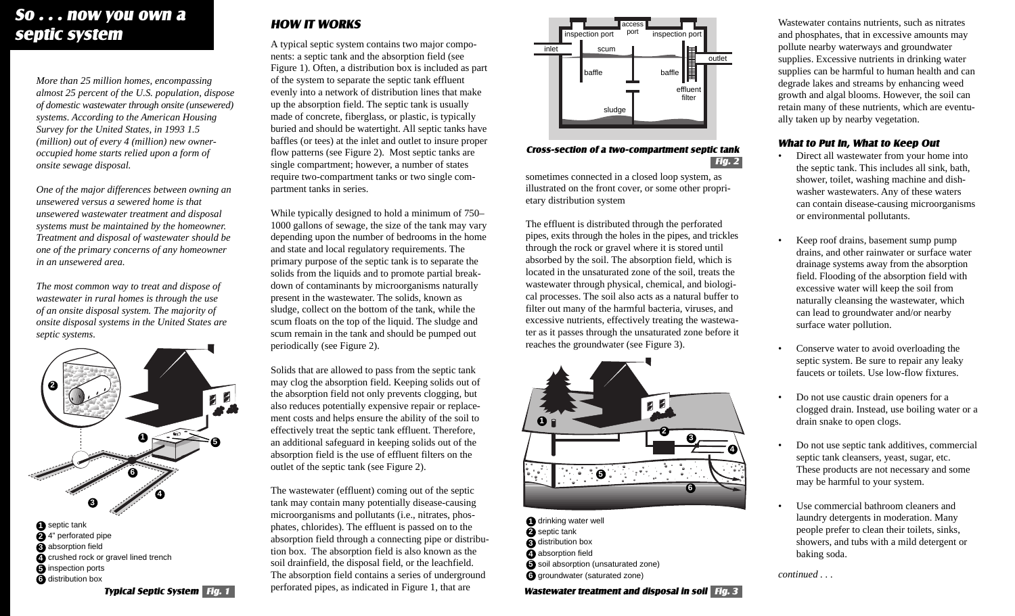## *So . . . now you own a septic system HOW IT WORKS*

*More than 25 million homes, encompassing almost 25 percent of the U.S. population, dispose of domestic wastewater through onsite (unsewered) systems. According to the American Housing Survey for the United States, in 1993 1.5 (million) out of every 4 (million) new owneroccupied home starts relied upon a form of onsite sewage disposal.*

*One of the major differences between owning an unsewered versus a sewered home is that unsewered wastewater treatment and disposal systems must be maintained by the homeowner. Treatment and disposal of wastewater should be one of the primary concerns of any homeowner in an unsewered area.*

*The most common way to treat and dispose of wastewater in rural homes is through the use of an onsite disposal system. The majority of onsite disposal systems in the United States are septic systems.*



 septic tank 4" perforated pipe absorption field crushed rock or gravel lined trench  *Typical Septic System Fig. 1* inspection ports distribution box

A typical septic system contains two major components: a septic tank and the absorption field (see Figure 1). Often, a distribution box is included as part of the system to separate the septic tank effluent evenly into a network of distribution lines that make up the absorption field. The septic tank is usually made of concrete, fiberglass, or plastic, is typically buried and should be watertight. All septic tanks have baffles (or tees) at the inlet and outlet to insure proper flow patterns (see Figure 2). Most septic tanks are single compartment; however, a number of states require two-compartment tanks or two single compartment tanks in series.

While typically designed to hold a minimum of 750– 1000 gallons of sewage, the size of the tank may vary depending upon the number of bedrooms in the home and state and local regulatory requirements. The primary purpose of the septic tank is to separate the solids from the liquids and to promote partial breakdown of contaminants by microorganisms naturally present in the wastewater. The solids, known as sludge, collect on the bottom of the tank, while the scum floats on the top of the liquid. The sludge and scum remain in the tank and should be pumped out periodically (see Figure 2).

Solids that are allowed to pass from the septic tank may clog the absorption field. Keeping solids out of the absorption field not only prevents clogging, but also reduces potentially expensive repair or replacement costs and helps ensure the ability of the soil to effectively treat the septic tank effluent. Therefore, an additional safeguard in keeping solids out of the absorption field is the use of effluent filters on the outlet of the septic tank (see Figure 2).

The wastewater (effluent) coming out of the septic tank may contain many potentially disease-causing microorganisms and pollutants (i.e., nitrates, phosphates, chlorides). The effluent is passed on to the absorption field through a connecting pipe or distribution box. The absorption field is also known as the soil drainfield, the disposal field, or the leachfield. The absorption field contains a series of underground perforated pipes, as indicated in Figure 1, that are



### *Cross-section of a two-compartment septic tank Fig. 2*

sometimes connected in a closed loop system, as illustrated on the front cover, or some other proprietary distribution system

The effluent is distributed through the perforated pipes, exits through the holes in the pipes, and trickles through the rock or gravel where it is stored until absorbed by the soil. The absorption field, which is located in the unsaturated zone of the soil, treats the wastewater through physical, chemical, and biological processes. The soil also acts as a natural buffer to filter out many of the harmful bacteria, viruses, and excessive nutrients, effectively treating the wastewater as it passes through the unsaturated zone before it reaches the groundwater (see Figure 3).



- **1** drinking water well
- **2** septic tank
- **3** distribution box
- **4** absorption field
- **5** soil absorption (unsaturated zone)
- **6** groundwater (saturated zone)

 *Wastewater treatment and disposal in soil Fig. 3*

Wastewater contains nutrients, such as nitrates and phosphates, that in excessive amounts may pollute nearby waterways and groundwater supplies. Excessive nutrients in drinking water supplies can be harmful to human health and can degrade lakes and streams by enhancing weed growth and algal blooms. However, the soil can retain many of these nutrients, which are eventually taken up by nearby vegetation.

## *What to Put In, What to Keep Out*

- Direct all wastewater from your home into the septic tank. This includes all sink, bath, shower, toilet, washing machine and dishwasher wastewaters. Any of these waters can contain disease-causing microorganisms or environmental pollutants.
- Keep roof drains, basement sump pump drains, and other rainwater or surface water drainage systems away from the absorption field. Flooding of the absorption field with excessive water will keep the soil from naturally cleansing the wastewater, which can lead to groundwater and/or nearby surface water pollution.
- Conserve water to avoid overloading the septic system. Be sure to repair any leaky faucets or toilets. Use low-flow fixtures.
- Do not use caustic drain openers for a clogged drain. Instead, use boiling water or a drain snake to open clogs.
- Do not use septic tank additives, commercial septic tank cleansers, yeast, sugar, etc. These products are not necessary and some may be harmful to your system.
- Use commercial bathroom cleaners and laundry detergents in moderation. Many people prefer to clean their toilets, sinks, showers, and tubs with a mild detergent or baking soda.

*continued . . .*